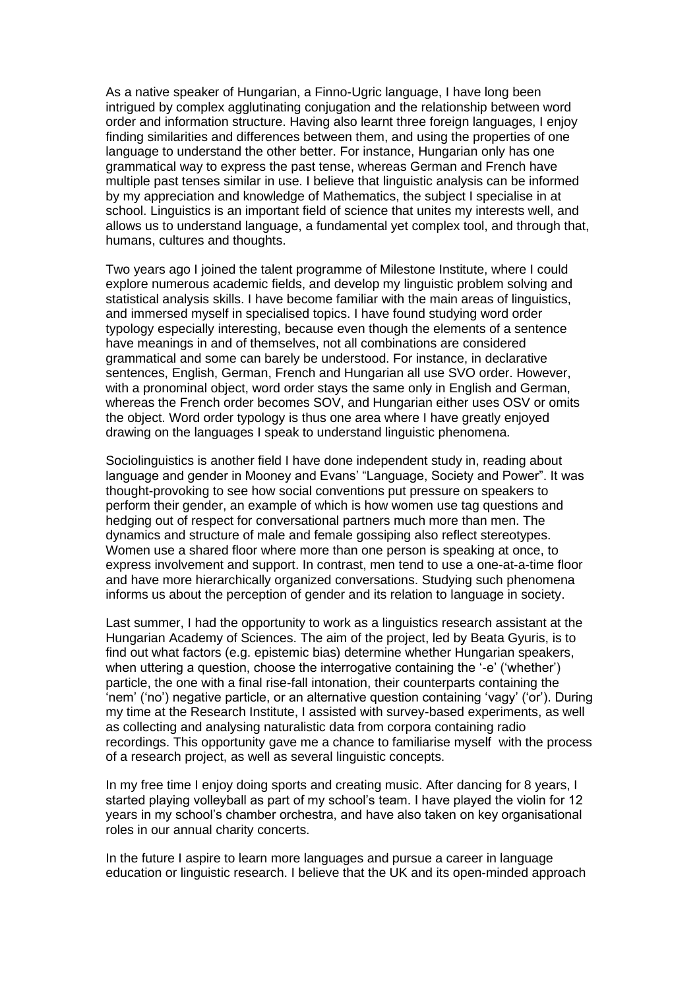As a native speaker of Hungarian, a Finno-Ugric language, I have long been intrigued by complex agglutinating conjugation and the relationship between word order and information structure. Having also learnt three foreign languages, I enjoy finding similarities and differences between them, and using the properties of one language to understand the other better. For instance, Hungarian only has one grammatical way to express the past tense, whereas German and French have multiple past tenses similar in use. I believe that linguistic analysis can be informed by my appreciation and knowledge of Mathematics, the subject I specialise in at school. Linguistics is an important field of science that unites my interests well, and allows us to understand language, a fundamental yet complex tool, and through that, humans, cultures and thoughts.

Two years ago I joined the talent programme of Milestone Institute, where I could explore numerous academic fields, and develop my linguistic problem solving and statistical analysis skills. I have become familiar with the main areas of linguistics, and immersed myself in specialised topics. I have found studying word order typology especially interesting, because even though the elements of a sentence have meanings in and of themselves, not all combinations are considered grammatical and some can barely be understood. For instance, in declarative sentences, English, German, French and Hungarian all use SVO order. However, with a pronominal object, word order stays the same only in English and German, whereas the French order becomes SOV, and Hungarian either uses OSV or omits the object. Word order typology is thus one area where I have greatly enjoyed drawing on the languages I speak to understand linguistic phenomena.

Sociolinguistics is another field I have done independent study in, reading about language and gender in Mooney and Evans' "Language, Society and Power". It was thought-provoking to see how social conventions put pressure on speakers to perform their gender, an example of which is how women use tag questions and hedging out of respect for conversational partners much more than men. The dynamics and structure of male and female gossiping also reflect stereotypes. Women use a shared floor where more than one person is speaking at once, to express involvement and support. In contrast, men tend to use a one-at-a-time floor and have more hierarchically organized conversations. Studying such phenomena informs us about the perception of gender and its relation to language in society.

Last summer, I had the opportunity to work as a linguistics research assistant at the Hungarian Academy of Sciences. The aim of the project, led by Beata Gyuris, is to find out what factors (e.g. epistemic bias) determine whether Hungarian speakers, when uttering a question, choose the interrogative containing the '-e' ('whether') particle, the one with a final rise-fall intonation, their counterparts containing the 'nem' ('no') negative particle, or an alternative question containing 'vagy' ('or'). During my time at the Research Institute, I assisted with survey-based experiments, as well as collecting and analysing naturalistic data from corpora containing radio recordings. This opportunity gave me a chance to familiarise myself with the process of a research project, as well as several linguistic concepts.

In my free time I enjoy doing sports and creating music. After dancing for 8 years, I started playing volleyball as part of my school's team. I have played the violin for 12 years in my school's chamber orchestra, and have also taken on key organisational roles in our annual charity concerts.

In the future I aspire to learn more languages and pursue a career in language education or linguistic research. I believe that the UK and its open-minded approach